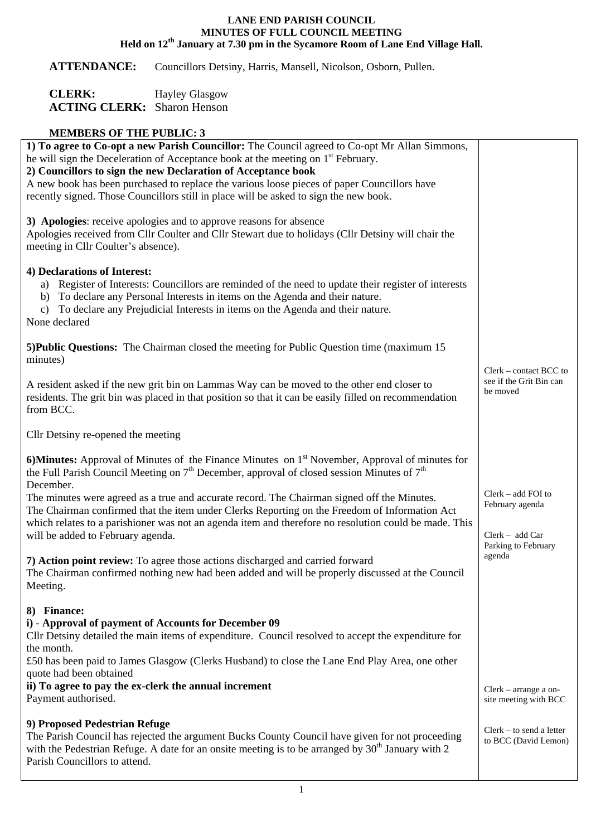## **LANE END PARISH COUNCIL MINUTES OF FULL COUNCIL MEETING Held on 12th January at 7.30 pm in the Sycamore Room of Lane End Village Hall.**

**ATTENDANCE:** Councillors Detsiny, Harris, Mansell, Nicolson, Osborn, Pullen.

| <b>CLERK:</b>                      | <b>Hayley Glasgow</b> |
|------------------------------------|-----------------------|
| <b>ACTING CLERK:</b> Sharon Henson |                       |

## **MEMBERS OF THE PUBLIC: 3**

| 1) To agree to Co-opt a new Parish Councillor: The Council agreed to Co-opt Mr Allan Simmons,<br>he will sign the Deceleration of Acceptance book at the meeting on 1 <sup>st</sup> February.<br>2) Councillors to sign the new Declaration of Acceptance book<br>A new book has been purchased to replace the various loose pieces of paper Councillors have<br>recently signed. Those Councillors still in place will be asked to sign the new book.                                                                                                         |                                                                                   |
|----------------------------------------------------------------------------------------------------------------------------------------------------------------------------------------------------------------------------------------------------------------------------------------------------------------------------------------------------------------------------------------------------------------------------------------------------------------------------------------------------------------------------------------------------------------|-----------------------------------------------------------------------------------|
| 3) Apologies: receive apologies and to approve reasons for absence<br>Apologies received from Cllr Coulter and Cllr Stewart due to holidays (Cllr Detsiny will chair the<br>meeting in Cllr Coulter's absence).                                                                                                                                                                                                                                                                                                                                                |                                                                                   |
| 4) Declarations of Interest:<br>Register of Interests: Councillors are reminded of the need to update their register of interests<br>b) To declare any Personal Interests in items on the Agenda and their nature.<br>To declare any Prejudicial Interests in items on the Agenda and their nature.<br>$\mathbf{c}$ )<br>None declared                                                                                                                                                                                                                         |                                                                                   |
| 5) Public Questions: The Chairman closed the meeting for Public Question time (maximum 15)<br>minutes)                                                                                                                                                                                                                                                                                                                                                                                                                                                         |                                                                                   |
| A resident asked if the new grit bin on Lammas Way can be moved to the other end closer to<br>residents. The grit bin was placed in that position so that it can be easily filled on recommendation<br>from BCC.                                                                                                                                                                                                                                                                                                                                               | Clerk – contact BCC to<br>see if the Grit Bin can<br>be moved                     |
| Cllr Detsiny re-opened the meeting                                                                                                                                                                                                                                                                                                                                                                                                                                                                                                                             |                                                                                   |
| 6) Minutes: Approval of Minutes of the Finance Minutes on $1st$ November, Approval of minutes for<br>the Full Parish Council Meeting on $7th$ December, approval of closed session Minutes of $7th$<br>December.<br>The minutes were agreed as a true and accurate record. The Chairman signed off the Minutes.<br>The Chairman confirmed that the item under Clerks Reporting on the Freedom of Information Act<br>which relates to a parishioner was not an agenda item and therefore no resolution could be made. This<br>will be added to February agenda. | $Clerk - add FOI$ to<br>February agenda<br>Clerk - add Car<br>Parking to February |
| 7) Action point review: To agree those actions discharged and carried forward<br>The Chairman confirmed nothing new had been added and will be properly discussed at the Council<br>Meeting.                                                                                                                                                                                                                                                                                                                                                                   | agenda                                                                            |
| 8) Finance:<br>i) - Approval of payment of Accounts for December 09<br>Cllr Detsiny detailed the main items of expenditure. Council resolved to accept the expenditure for<br>the month.<br>£50 has been paid to James Glasgow (Clerks Husband) to close the Lane End Play Area, one other<br>quote had been obtained<br>ii) To agree to pay the ex-clerk the annual increment<br>Payment authorised.                                                                                                                                                          | Clerk – arrange a on-<br>site meeting with BCC                                    |
| 9) Proposed Pedestrian Refuge<br>The Parish Council has rejected the argument Bucks County Council have given for not proceeding<br>with the Pedestrian Refuge. A date for an onsite meeting is to be arranged by $30th$ January with 2<br>Parish Councillors to attend.                                                                                                                                                                                                                                                                                       | $Clerk - to send a letter$<br>to BCC (David Lemon)                                |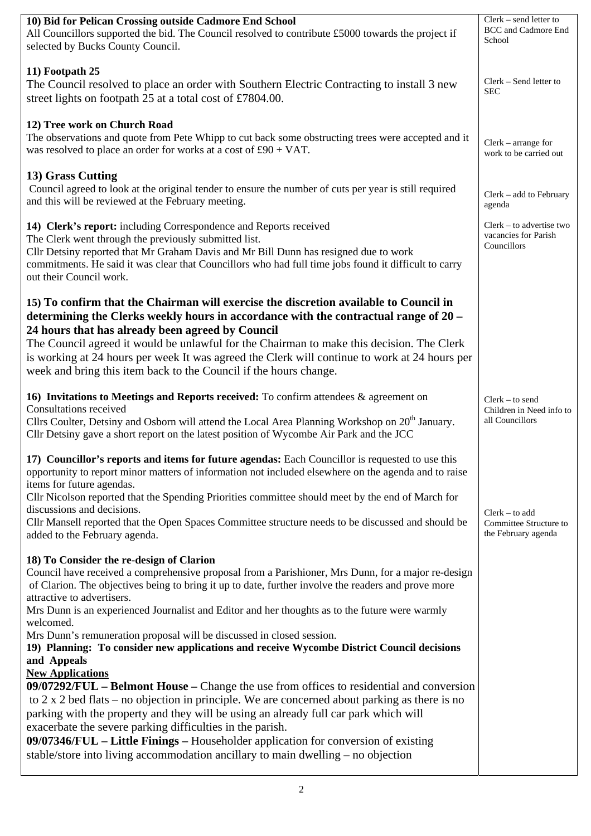| 10) Bid for Pelican Crossing outside Cadmore End School<br>All Councillors supported the bid. The Council resolved to contribute £5000 towards the project if<br>selected by Bucks County Council.                                                                                                                                                                                                                                                                                                                                                                                                        | Clerk - send letter to<br><b>BCC</b> and Cadmore End<br>School   |
|-----------------------------------------------------------------------------------------------------------------------------------------------------------------------------------------------------------------------------------------------------------------------------------------------------------------------------------------------------------------------------------------------------------------------------------------------------------------------------------------------------------------------------------------------------------------------------------------------------------|------------------------------------------------------------------|
|                                                                                                                                                                                                                                                                                                                                                                                                                                                                                                                                                                                                           |                                                                  |
| 11) Footpath 25<br>The Council resolved to place an order with Southern Electric Contracting to install 3 new<br>street lights on footpath 25 at a total cost of £7804.00.                                                                                                                                                                                                                                                                                                                                                                                                                                | Clerk – Send letter to<br>SEC                                    |
| 12) Tree work on Church Road<br>The observations and quote from Pete Whipp to cut back some obstructing trees were accepted and it<br>was resolved to place an order for works at a cost of $£90 + VAT$ .                                                                                                                                                                                                                                                                                                                                                                                                 | $Clerk - arrange for$<br>work to be carried out                  |
| 13) Grass Cutting<br>Council agreed to look at the original tender to ensure the number of cuts per year is still required<br>and this will be reviewed at the February meeting.                                                                                                                                                                                                                                                                                                                                                                                                                          | Clerk - add to February<br>agenda                                |
| 14) Clerk's report: including Correspondence and Reports received<br>The Clerk went through the previously submitted list.<br>Cllr Detsiny reported that Mr Graham Davis and Mr Bill Dunn has resigned due to work<br>commitments. He said it was clear that Councillors who had full time jobs found it difficult to carry<br>out their Council work.                                                                                                                                                                                                                                                    | Clerk – to advertise two<br>vacancies for Parish<br>Councillors  |
| 15) To confirm that the Chairman will exercise the discretion available to Council in<br>determining the Clerks weekly hours in accordance with the contractual range of 20 -<br>24 hours that has already been agreed by Council<br>The Council agreed it would be unlawful for the Chairman to make this decision. The Clerk<br>is working at 24 hours per week It was agreed the Clerk will continue to work at 24 hours per<br>week and bring this item back to the Council if the hours change.                                                                                                      |                                                                  |
| 16) Invitations to Meetings and Reports received: To confirm attendees $\&$ agreement on<br>Consultations received<br>Cllrs Coulter, Detsiny and Osborn will attend the Local Area Planning Workshop on 20 <sup>th</sup> January.<br>Cllr Detsiny gave a short report on the latest position of Wycombe Air Park and the JCC                                                                                                                                                                                                                                                                              | $Clerk - to send$<br>Children in Need info to<br>all Councillors |
| 17) Councillor's reports and items for future agendas: Each Councillor is requested to use this<br>opportunity to report minor matters of information not included elsewhere on the agenda and to raise<br>items for future agendas.<br>Cllr Nicolson reported that the Spending Priorities committee should meet by the end of March for<br>discussions and decisions.<br>Cllr Mansell reported that the Open Spaces Committee structure needs to be discussed and should be                                                                                                                             | $Clerk - to add$<br>Committee Structure to                       |
| added to the February agenda.<br>18) To Consider the re-design of Clarion<br>Council have received a comprehensive proposal from a Parishioner, Mrs Dunn, for a major re-design<br>of Clarion. The objectives being to bring it up to date, further involve the readers and prove more<br>attractive to advertisers.<br>Mrs Dunn is an experienced Journalist and Editor and her thoughts as to the future were warmly<br>welcomed.<br>Mrs Dunn's remuneration proposal will be discussed in closed session.<br>19) Planning: To consider new applications and receive Wycombe District Council decisions | the February agenda                                              |
| and Appeals<br><b>New Applications</b><br>09/07292/FUL – Belmont House – Change the use from offices to residential and conversion<br>to $2 \times 2$ bed flats – no objection in principle. We are concerned about parking as there is no<br>parking with the property and they will be using an already full car park which will<br>exacerbate the severe parking difficulties in the parish.<br>09/07346/FUL – Little Finings – Householder application for conversion of existing<br>stable/store into living accommodation ancillary to main dwelling – no objection                                 |                                                                  |